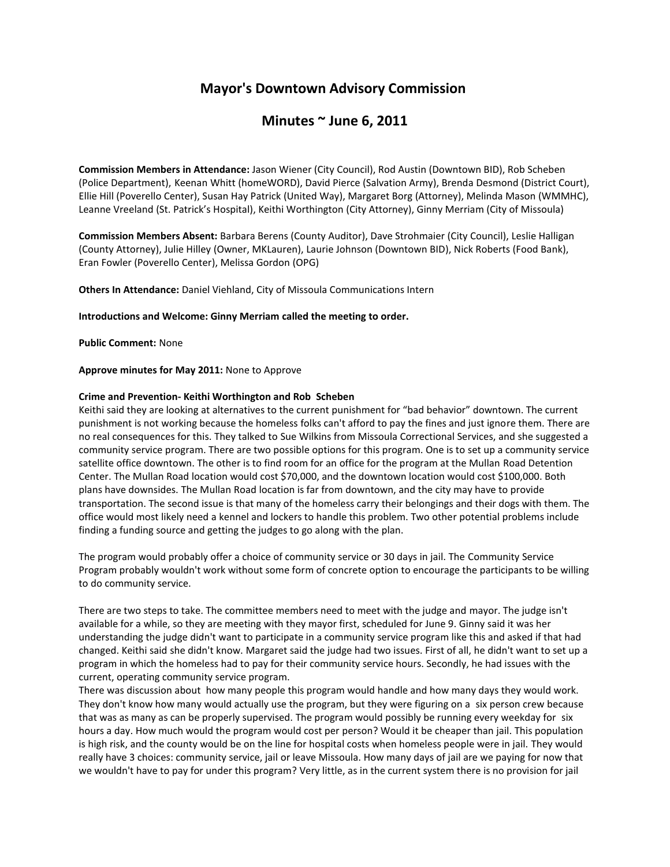# **Mayor's Downtown Advisory Commission**

## **Minutes ~ June 6, 2011**

**Commission Members in Attendance:** Jason Wiener (City Council), Rod Austin (Downtown BID), Rob Scheben (Police Department), Keenan Whitt (homeWORD), David Pierce (Salvation Army), Brenda Desmond (District Court), Ellie Hill (Poverello Center), Susan Hay Patrick (United Way), Margaret Borg (Attorney), Melinda Mason (WMMHC), Leanne Vreeland (St. Patrick's Hospital), Keithi Worthington (City Attorney), Ginny Merriam (City of Missoula)

**Commission Members Absent:** Barbara Berens (County Auditor), Dave Strohmaier (City Council), Leslie Halligan (County Attorney), Julie Hilley (Owner, MKLauren), Laurie Johnson (Downtown BID), Nick Roberts (Food Bank), Eran Fowler (Poverello Center), Melissa Gordon (OPG)

**Others In Attendance:** Daniel Viehland, City of Missoula Communications Intern

**Introductions and Welcome: Ginny Merriam called the meeting to order.** 

**Public Comment:** None

**Approve minutes for May 2011:** None to Approve

### **Crime and Prevention- Keithi Worthington and Rob Scheben**

Keithi said they are looking at alternatives to the current punishment for "bad behavior" downtown. The current punishment is not working because the homeless folks can't afford to pay the fines and just ignore them. There are no real consequences for this. They talked to Sue Wilkins from Missoula Correctional Services, and she suggested a community service program. There are two possible options for this program. One is to set up a community service satellite office downtown. The other is to find room for an office for the program at the Mullan Road Detention Center. The Mullan Road location would cost \$70,000, and the downtown location would cost \$100,000. Both plans have downsides. The Mullan Road location is far from downtown, and the city may have to provide transportation. The second issue is that many of the homeless carry their belongings and their dogs with them. The office would most likely need a kennel and lockers to handle this problem. Two other potential problems include finding a funding source and getting the judges to go along with the plan.

The program would probably offer a choice of community service or 30 days in jail. The Community Service Program probably wouldn't work without some form of concrete option to encourage the participants to be willing to do community service.

There are two steps to take. The committee members need to meet with the judge and mayor. The judge isn't available for a while, so they are meeting with they mayor first, scheduled for June 9. Ginny said it was her understanding the judge didn't want to participate in a community service program like this and asked if that had changed. Keithi said she didn't know. Margaret said the judge had two issues. First of all, he didn't want to set up a program in which the homeless had to pay for their community service hours. Secondly, he had issues with the current, operating community service program.

There was discussion about how many people this program would handle and how many days they would work. They don't know how many would actually use the program, but they were figuring on a six person crew because that was as many as can be properly supervised. The program would possibly be running every weekday for six hours a day. How much would the program would cost per person? Would it be cheaper than jail. This population is high risk, and the county would be on the line for hospital costs when homeless people were in jail. They would really have 3 choices: community service, jail or leave Missoula. How many days of jail are we paying for now that we wouldn't have to pay for under this program? Very little, as in the current system there is no provision for jail